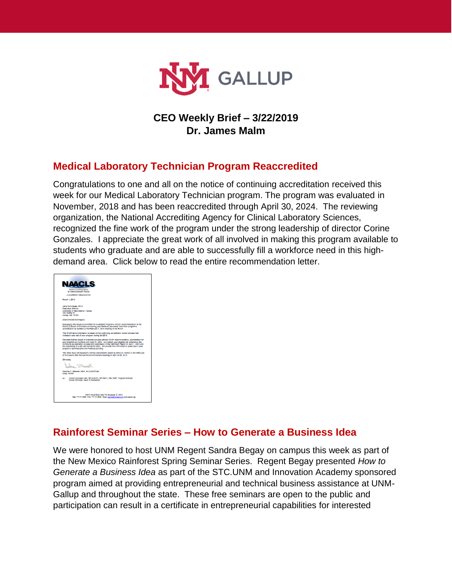

#### **CEO Weekly Brief – 3/22/2019 Dr. James Malm**

#### **Medical Laboratory Technician Program Reaccredited**

Congratulations to one and all on the notice of continuing accreditation received this week for our Medical Laboratory Technician program. The program was evaluated in November, 2018 and has been reaccredited through April 30, 2024. The reviewing organization, the National Accrediting Agency for Clinical Laboratory Sciences, recognized the fine work of the program under the strong leadership of director Corine Gonzales. I appreciate the great work of all involved in making this program available to students who graduate and are able to successfully fill a workforce need in this highdemand area. Click below to read the entire recommendation letter.



# **Rainforest Seminar Series – How to Generate a Business Idea**

We were honored to host UNM Regent Sandra Begay on campus this week as part of the New Mexico Rainforest Spring Seminar Series. Regent Begay presented *How to Generate a Business Idea* as part of the STC.UNM and Innovation Academy sponsored program aimed at providing entrepreneurial and technical business assistance at UNM-Gallup and throughout the state. These free seminars are open to the public and participation can result in a certificate in entrepreneurial capabilities for interested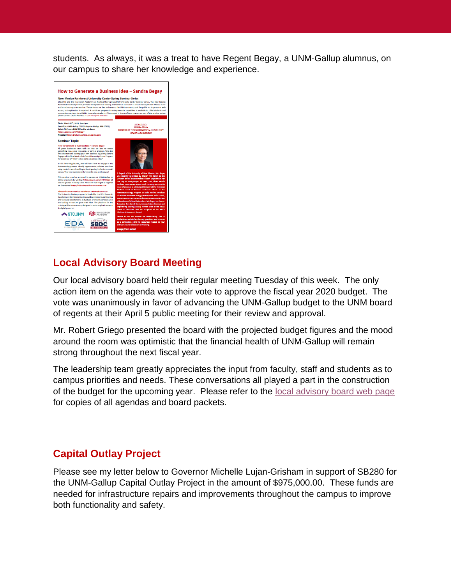students. As always, it was a treat to have Regent Begay, a UNM-Gallup alumnus, on our campus to share her knowledge and experience.



# **Local Advisory Board Meeting**

Our local advisory board held their regular meeting Tuesday of this week. The only action item on the agenda was their vote to approve the fiscal year 2020 budget. The vote was unanimously in favor of advancing the UNM-Gallup budget to the UNM board of regents at their April 5 public meeting for their review and approval.

Mr. Robert Griego presented the board with the projected budget figures and the mood around the room was optimistic that the financial health of UNM-Gallup will remain strong throughout the next fiscal year.

The leadership team greatly appreciates the input from faculty, staff and students as to campus priorities and needs. These conversations all played a part in the construction of the budget for the upcoming year. Please refer to the [local advisory board web page](https://gallup.unm.edu/administration/localboard/) for copies of all agendas and board packets.

# **Capital Outlay Project**

Please see my letter below to Governor Michelle Lujan-Grisham in support of SB280 for the UNM-Gallup Capital Outlay Project in the amount of \$975,000.00. These funds are needed for infrastructure repairs and improvements throughout the campus to improve both functionality and safety.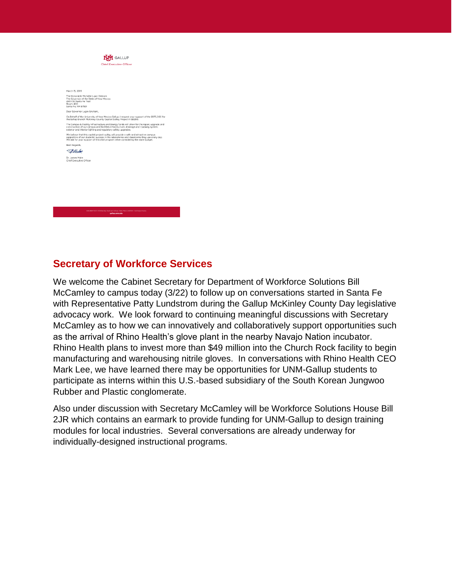

NVI GALLUP Chief Executive Officer

#### **Secretary of Workforce Services**

We welcome the Cabinet Secretary for Department of Workforce Solutions Bill McCamley to campus today (3/22) to follow up on conversations started in Santa Fe with Representative Patty Lundstrom during the Gallup McKinley County Day legislative advocacy work. We look forward to continuing meaningful discussions with Secretary McCamley as to how we can innovatively and collaboratively support opportunities such as the arrival of Rhino Health's glove plant in the nearby Navajo Nation incubator. Rhino Health plans to invest more than \$49 million into the Church Rock facility to begin manufacturing and warehousing nitrile gloves. In conversations with Rhino Health CEO Mark Lee, we have learned there may be opportunities for UNM-Gallup students to participate as interns within this U.S.-based subsidiary of the South Korean Jungwoo Rubber and Plastic conglomerate.

Also under discussion with Secretary McCamley will be Workforce Solutions House Bill 2JR which contains an earmark to provide funding for UNM-Gallup to design training modules for local industries. Several conversations are already underway for individually-designed instructional programs.